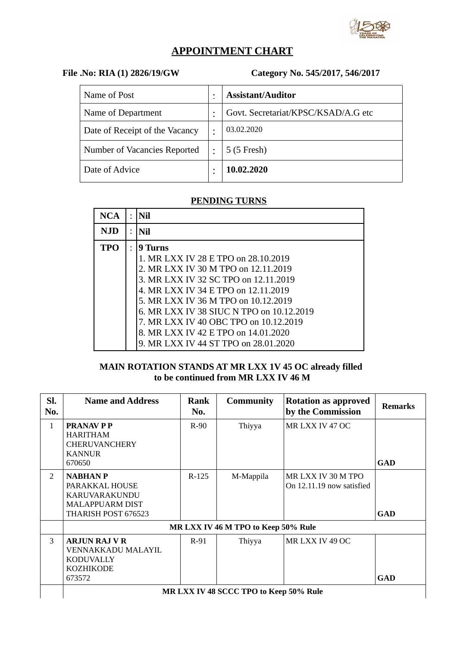

# **APPOINTMENT CHART**

## **File .No: RIA (1) 2826/19/GW Category No. 545/2017, 546/2017**

| Name of Post                   | ٠              | <b>Assistant/Auditor</b>            |
|--------------------------------|----------------|-------------------------------------|
| Name of Department             | ٠              | Govt. Secretariat/KPSC/KSAD/A.G etc |
| Date of Receipt of the Vacancy | $\bullet$      | 03.02.2020                          |
| Number of Vacancies Reported   | $\ddot{\cdot}$ | 5 (5 Fresh)                         |
| Date of Advice                 | ٠              | 10.02.2020                          |

#### **PENDING TURNS**

| NCA        | $\bullet$ | <b>Nil</b>                                                                                                                                                                                                                                     |
|------------|-----------|------------------------------------------------------------------------------------------------------------------------------------------------------------------------------------------------------------------------------------------------|
| NJD        | $\bullet$ | Nil                                                                                                                                                                                                                                            |
| <b>TPO</b> | $\bullet$ | 9 Turns<br>1. MR LXX IV 28 E TPO on 28.10.2019<br>2. MR LXX IV 30 M TPO on 12.11.2019<br>3. MR LXX IV 32 SC TPO on 12.11.2019                                                                                                                  |
|            |           | 4. MR LXX IV 34 E TPO on 12.11.2019<br>5. MR LXX IV 36 M TPO on 10.12.2019<br>6. MR LXX IV 38 SIUC N TPO on 10.12.2019<br>7. MR LXX IV 40 OBC TPO on 10.12.2019<br>8. MR LXX IV 42 E TPO on 14.01.2020<br>9. MR LXX IV 44 ST TPO on 28.01.2020 |

## **MAIN ROTATION STANDS AT MR LXX 1V 45 OC already filled to be continued from MR LXX IV 46 M**

| SI.<br>No.     | <b>Name and Address</b>                                                                             | Rank<br>No. | <b>Community</b> | <b>Rotation as approved</b><br>by the Commission | <b>Remarks</b> |  |  |
|----------------|-----------------------------------------------------------------------------------------------------|-------------|------------------|--------------------------------------------------|----------------|--|--|
| $\mathbf{1}$   | <b>PRANAV P P</b><br>HARITHAM<br><b>CHERUVANCHERY</b><br><b>KANNUR</b><br>670650                    | $R-90$      | Thiyya           | MR LXX IV 47 OC                                  | <b>GAD</b>     |  |  |
| $\overline{2}$ | <b>NABHAN P</b><br>PARAKKAL HOUSE<br>KARUVARAKUNDU<br><b>MALAPPUARM DIST</b><br>THARISH POST 676523 | $R-125$     | M-Mappila        | MR LXX IV 30 M TPO<br>On 12.11.19 now satisfied  | GAD            |  |  |
|                | MR LXX IV 46 M TPO to Keep 50% Rule                                                                 |             |                  |                                                  |                |  |  |
| 3              | <b>ARJUN RAJ V R</b><br><b>VENNAKKADU MALAYIL</b><br><b>KODUVALLY</b><br>KOZHIKODE<br>673572        | $R-91$      | Thiyya           | MR LXX IV 49 OC                                  | <b>GAD</b>     |  |  |
|                | MR LXX IV 48 SCCC TPO to Keep 50% Rule                                                              |             |                  |                                                  |                |  |  |